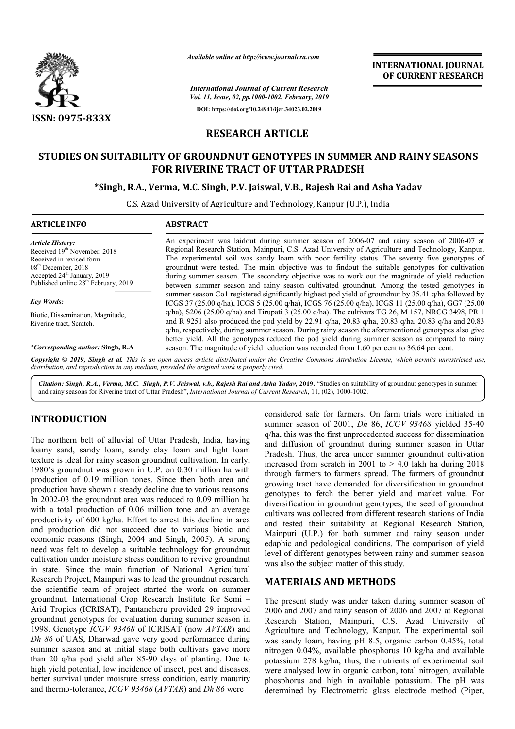

*Available online at http://www.journalcra.com*

*International Journal of Current Research Vol. 11, Issue, 02, pp.1000-1002, February, 2019* **DOI: https://doi.org/10.24941/ijcr.34023.02.2019**

# **RESEARCH ARTICLE**

# STUDIES ON SUITABILITY OF GROUNDNUT GENOTYPES IN SUMMER AND RAINY SEASONS<br>FOR RIVERINE TRACT OF UTTAR PRADESH<br>Singh, R.A., Verma, M.C. Singh, P.V. Jaiswal, V.B., Rajesh Rai and Asha Yadav\*\* **FOR RIVERINE TRACT OF UTTAR PRADESH**

# **\*Singh, R.A., Verma, M.C. Singh, P.V. Jaiswal, V.B., Rajesh Rai and Asha Yadav**

C.S. Azad University of Agriculture and Technology, Kanpur (U.P.), India

| <b>ARTICLE INFO</b>                                                                                                                                                                                                     | <b>ABSTRACT</b>                                                                                                                                                                                                                                                                                                                                                                                                                                                                                                                                                                                       |  |  |
|-------------------------------------------------------------------------------------------------------------------------------------------------------------------------------------------------------------------------|-------------------------------------------------------------------------------------------------------------------------------------------------------------------------------------------------------------------------------------------------------------------------------------------------------------------------------------------------------------------------------------------------------------------------------------------------------------------------------------------------------------------------------------------------------------------------------------------------------|--|--|
| <b>Article History:</b><br>Received 19 <sup>th</sup> November, 2018<br>Received in revised form<br>$08th$ December, 2018<br>Accepted 24 <sup>th</sup> January, 2019<br>Published online 28 <sup>th</sup> February, 2019 | An experiment was laid out during summer season of 2006-07 and rainy season of 2006-07 at<br>Regional Research Station, Mainpuri, C.S. Azad University of Agriculture and Technology, Kanpur.<br>The experimental soil was sandy loam with poor fertility status. The seventy five genotypes of<br>ground nut were tested. The main objective was to find out the suitable genotypes for cultivation<br>during summer season. The secondary objective was to work out the magnitude of yield reduction<br>between summer season and rainy season cultivated ground nut. Among the tested genotypes in |  |  |
| <b>Key Words:</b>                                                                                                                                                                                                       | summer season Co1 registered significantly highest pod yield of groundnut by 35.41 q/ha followed by<br>ICGS 37 (25.00 q/ha), ICGS 5 (25.00 q/ha), ICGS 76 (25.00 q/ha), ICGS 11 (25.00 q/ha), GG7 (25.00                                                                                                                                                                                                                                                                                                                                                                                              |  |  |
| Biotic, Dissemination, Magnitude,<br>Riverine tract, Scratch.                                                                                                                                                           | q/ha), $S206$ (25.00 q/ha) and Tirupati 3 (25.00 q/ha). The cultivars TG 26, M 157, NRCG 3498, PR 1<br>and R 9251 also produced the pod yield by 22.91 q/ha, 20.83 q/ha, 20.83 q/ha, 20.83 q/ha and 20.83<br>g/ha, respectively, during summer season. During rainy season the aforementioned genotypes also give<br>better yield. All the genotypes reduced the pod yield during summer season as compared to rainy                                                                                                                                                                                  |  |  |
| *Corresponding author: Singh, R.A                                                                                                                                                                                       | season. The magnitude of yield reduction was recorded from 1.60 per cent to 36.64 per cent.                                                                                                                                                                                                                                                                                                                                                                                                                                                                                                           |  |  |
|                                                                                                                                                                                                                         | Copyright © 2019, Singh et al. This is an open access article distributed under the Creative Commons Attribution License, which permits unrestricted use,<br>distribution, and vanvaduation in any modium, provided the oviginal work is prepared inted.                                                                                                                                                                                                                                                                                                                                              |  |  |

*distribution, and reproduction in any medium, provided the original work is properly cited.*

Citation: Singh, R.A., Verma, M.C. Singh, P.V. Jaiswal, v.b., Rajesh Rai and Asha Yadav, 2019. "Studies on suitability of groundnut genotypes in summer and rainy seasons for Riverine tract of Uttar Pradesh" ", *International Journal of Current Research*, 11, (02), 1000-1002.

### **INTRODUCTION**

The northern belt of alluvial of Uttar Pradesh, India, having loamy sand, sandy loam, sandy clay loam and light loam texture is ideal for rainy season groundnut cultivation. In early, 1980's groundnut was grown in U.P. on 0.30 million ha with production of 0.19 million tones. Since then both area and production have shown a steady decline due to various reasons. In 2002-03 the groundnut area was reduced to 0.09 million ha with a total production of 0.06 million tone and an average productivity of 600 kg/ha. Effort to arrest this decline in area and production did not succeed due to various biotic and economic reasons (Singh, 2004 and Singh, 2005). A strong In 2002-03 the groundnut area was reduced to 0.09 million ha<br>with a total production of 0.06 million tone and an average<br>productivity of 600 kg/ha. Effort to arrest this decline in area<br>and production did not succeed due t cultivation under moisture stress condition to revive groundnut in state. Since the main function of National Agricultural Research Project, Mainpuri was to lead the groundnut research, the scientific team of project started the work on summer groundnut. International Crop Research Institute for Semi -Arid Tropics (ICRISAT), Pantancheru provided 29 improved groundnut genotypes for evaluation during summer season in 1998. Genotype *ICGV 93468* of ICRISAT (now *AVTAR*) and *Dh 86* of UAS, Dharwad gave very good performance during summer season and at initial stage both cultivars gave more than 20 q/ha pod yield after 85-90 days of planting. Due to high yield potential, low incidence of insect, pest and diseases, better survival under moisture stress condition, early maturity and thermo-tolerance, *ICGV 93468* (*AVTAR*) and *Dh 86* were ery good perfo<br>ge both cultiv<br>90 days of pla<br>e of insect, pes<br>ress condition,

considered safe for farmers. On farm trials were initiated in summer season of 2001, *Dh* 86, *ICGV 93468* yielded 35-40 q/ha, this was the first unprecedented success for dissemination and diffusion of groundnut during summer season in Uttar Pradesh. Thus, the area under summer groundnut cultivation increased from scratch in 2001 to  $> 4.0$  lakh ha during 2018 through farmers to farmers spread. The farmers of groundnut growing tract have demanded for diversification in groundnut genotypes to fetch the better yield and market value. For diversification in groundnut genotypes, the seed of groundnut cultivars was collected from different research stations of and tested their suitability at Regional Research Station, Mainpuri (U.P.) for both summer and rainy season under edaphic and pedological conditions. The comparison of yield level of different genotypes between rainy and summer season was also the subject matter of this study. and diffusion of groundnut during summer season in Uttar<br>Pradesh. Thus, the area under summer groundnut cultivation<br>increased from scratch in 2001 to  $> 4.0$  lakh ha during 2018<br>through farmers to farmers spread. The farm ave demanded for diversification in groundnut<br>
etch the better yield and market value. For<br>
in groundnut genotypes, the seed of groundnut<br>
bllected from different research stations of India ir suitability at Regional Research St<br>
) for both summer and rainy season<br>
idological conditions. The comparison of<br>
t genotypes between rainy and summer s<br>
ject matter of this study. **PHORAL PERICANT SERVER (SERVER AND SERVER AND STRANT CONSUSSIL DURNAL JOURNAL JOURNAL STRANT (1990) (1990)**<br> **ARTICLE ROOTYPES IN SUMMER AND RAINY SEASONS**<br> **ARTICLE**<br> **ROOTYPES IN SUMMER AND RAINY SEASONS**<br> **PHORAPHORAL** 

## **MATERIALS AND METHODS METHODS**

The present study was under taken during summer season of 2006 and 2007 and rainy season of 2006 and 2007 at Regional Research Station, Mainpuri, C.S. Azad University of Agriculture and Technology, Kanpur. The experimental soil was sandy loam, having pH 8.5, organic carbon 0.45%, total nitrogen 0.04%, available phosphorus 10 kg/ha and available potassium 278 kg/ha, thus, the nutrients of e was sandy loam, having pH 8.5, organic carbon 0.45%, total nitrogen 0.04%, available phosphorus 10 kg/ha and available potassium 278 kg/ha, thus, the nutrients of experimental soil were analysed low in organic carbon, total nitrogen, available phosphorus and high in available potassium. The pH was determined by Electrometric glass electrode method (Piper, present study was under taken during summer season of<br>and 2007 and rainy season of 2006 and 2007 at Regional<br>arch Station, Mainpuri, C.S. Azad University of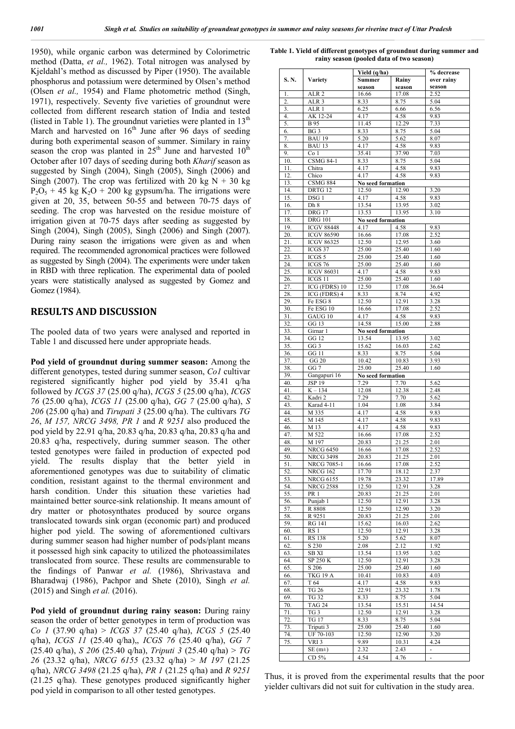1950), while organic carbon was determined by Colorimetric method (Datta, *et al.,* 1962). Total nitrogen was analysed by Kjeldahl's method as discussed by Piper (1950). The available phosphorus and potassium were determined by Olsen's method (Olsen *et al.,* 1954) and Flame photometric method (Singh, 1971), respectively. Seventy five varieties of groundnut were collected from different research station of India and tested (listed in Table 1). The groundnut varieties were planted in  $13<sup>th</sup>$ March and harvested on  $16<sup>th</sup>$  June after 96 days of seeding during both experimental season of summer. Similary in rainy season the crop was planted in  $25<sup>th</sup>$  June and harvested  $10<sup>th</sup>$ October after 107 days of seeding during both *Kharif* season as suggested by Singh (2004), Singh (2005), Singh (2006) and Singh (2007). The crop was fertilized with 20 kg  $N + 30$  kg  $P_2O_5$  + 45 kg K<sub>2</sub>O + 200 kg gypsum/ha. The irrigations were given at 20, 35, between 50-55 and between 70-75 days of seeding. The crop was harvested on the residue moisture of irrigation given at 70-75 days after seeding as suggested by Singh (2004), Singh (2005), Singh (2006) and Singh (2007). During rainy season the irrigations were given as and when required. The recommended agronomical practices were followed as suggested by Singh (2004). The experiments were under taken in RBD with three replication. The experimental data of pooled years were statistically analysed as suggested by Gomez and Gomez (1984).

#### **RESULTS AND DISCUSSION**

The pooled data of two years were analysed and reported in Table 1 and discussed here under appropriate heads.

**Pod yield of groundnut during summer season:** Among the different genotypes, tested during summer season, *Co1* cultivar registered significantly higher pod yield by 35.41 q/ha followed by *ICGS 37* (25.00 q/ha), *ICGS 5* (25.00 q/ha), *ICGS 76* (25.00 q/ha), *ICGS 11* (25.00 q/ha), *GG 7* (25.00 q/ha), *S 206* (25.00 q/ha) and *Tirupati 3* (25.00 q/ha). The cultivars *TG 26*, *M 157, NRCG 3498, PR 1* and *R 9251* also produced the pod yield by 22.91 q/ha, 20.83 q/ha, 20.83 q/ha, 20.83 q/ha and 20.83 q/ha, respectively, during summer season. The other tested genotypes were failed in production of expected pod yield. The results display that the better yield in aforementioned genotypes was due to suitability of climatic condition, resistant against to the thermal environment and harsh condition. Under this situation these varieties had maintained better source-sink relationship. It means amount of dry matter or photosynthates produced by source organs translocated towards sink organ (economic part) and produced higher pod yield. The sowing of aforementioned cultivars during summer season had higher number of pods/plant means it possessed high sink capacity to utilized the photoassimilates translocated from source. These results are commensurable to the findings of Panwar *et al.* (1986), Shrivastava and Bharadwaj (1986), Pachpor and Shete (2010), Singh *et al.* (2015) and Singh *et al.* (2016).

**Pod yield of groundnut during rainy season:** During rainy season the order of better genotypes in term of production was *Co 1* (37.90 q/ha) > *ICGS 37* (25.40 q/ha), *ICGS 5* (25.40 q/ha), *ICGS 11* (25.40 q/ha),, *ICGS 76* (25.40 q/ha), *GG 7* (25.40 q/ha), *S 206* (25.40 q/ha), *Triputi 3* (25.40 q/ha) > *TG 26* (23.32 q/ha), *NRCG 6155* (23.32 q/ha) > *M 197* (21.25 q/ha), *NRCG 3498* (21.25 q/ha), *PR 1* (21.25 q/ha) and *R 9251* (21.25 q/ha). These genotypes produced significantly higher pod yield in comparison to all other tested genotypes.

**Table 1. Yield of different genotypes of groundnut during summer and rainy season (pooled data of two season)**

|       |                    | Yield (q/ha)      | % decrease |                          |
|-------|--------------------|-------------------|------------|--------------------------|
| S. N. | <b>Variety</b>     | Summer            | Rainy      | over rainy               |
|       |                    | season            | season     | season                   |
| 1.    | ALR <sub>2</sub>   | 16.66             | 17.08      | 2.52                     |
| 2.    | ALR <sub>3</sub>   | 8.33              | 8.75       | 5.04                     |
| 3.    | ALR <sub>1</sub>   | 6.25              | 6.66       | 6.56                     |
|       |                    |                   |            | 9.83                     |
| 4.    | AK 12-24           | 4.17              | 4.58       |                          |
| 5.    | <b>B</b> 95        | 11.45             | 12.29      | 7.33                     |
| 6.    | BG <sub>3</sub>    | 8.33              | 8.75       | 5.04                     |
| 7.    | <b>BAU 19</b>      | 5.20              | 5.62       | 8.07                     |
| 8.    | <b>BAU 13</b>      | 4.17              | 4.58       | 9.83                     |
| 9.    | Co <sub>1</sub>    | 35.41             | 37.90      | 7.03                     |
| 10.   | <b>CSMG 84-1</b>   | 8.33              | 8.75       | 5.04                     |
| 11.   | Chitra             | 4.17              | 4.58       | 9.83                     |
| 12.   | Chico              | 4.17              | 4.58       | 9.83                     |
| 13.   | <b>CSMG 884</b>    | No seed formation |            |                          |
| 14.   | DRTG <sub>12</sub> | 12.50             | 12.90      | 3.20                     |
| 15.   | DSG 1              | 4.17              | 4.58       | 9.83                     |
| 16.   | Dh 8               | 13.54             | 13.95      | 3.02                     |
| 17.   | <b>DRG 17</b>      | 13.53             | 13.95      | 3.10                     |
| 18.   | <b>DRG</b> 101     | No seed formation |            |                          |
|       |                    |                   |            |                          |
| 19.   | <b>ICGV 88448</b>  | 4.17              | 4.58       | 9.83                     |
| 20.   | <b>ICGV 86590</b>  | 16.66             | 17.08      | 2.52                     |
| 21.   | <b>ICGV 86325</b>  | 12.50             | 12.95      | 3.60                     |
| 22.   | ICGS 37            | 25.00             | 25.40      | 1.60                     |
| 23.   | ICGS 5             | 25.00             | 25.40      | 1.60                     |
| 24.   | ICGS 76            | 25.00             | 25.40      | 1.60                     |
| 25.   | <b>ICGV 86031</b>  | 4.17              | 4.58       | 9.83                     |
| 26.   | ICGS 11            | 25.00             | 25.40      | 1.60                     |
| 27.   | ICG (FDRS) 10      | 12.50             | 17.08      | 36.64                    |
| 28.   | $ICG$ (FDRS) $4$   | 8.33              | 8.74       | 4.92                     |
| 29.   | Fe ESG 8           | 12.50             | 12.91      | 3.28                     |
| 30.   | Fe ESG 10          | 16.66             | 17.08      | 2.52                     |
| 31.   | GAUG 10            | 4.17              | 4.58       | 9.83                     |
| 32.   | GG 13              | 14.58             | 15.00      | 2.88                     |
| 33.   | Girnar 1           |                   |            |                          |
| 34.   | GG 12              | No seed formation |            | 3.02                     |
|       |                    | 13.54             | 13.95      |                          |
| 35.   | GG 3               | 15.62             | 16.03      | 2.62                     |
| 36.   | <b>GG 11</b>       | 8.33              | 8.75       | 5.04                     |
| 37.   | <b>GG 20</b>       | 10.42             | 10.83      | 3.93                     |
| 38.   | GG 7               | 25.00             | 25.40      | 1.60                     |
| 39.   | Gangapuri 16       | No seed formation |            |                          |
| 40.   | <b>JSP 19</b>      | 7.29              | 7.70       | 5.62                     |
| 41.   | $K - 134$          | 12.08             | 12.38      | 2.48                     |
| 42.   | Kadri 2            | 7.29              | 7.70       | 5.62                     |
| 43.   | Karad 4-11         | 1.04              | 1.08       | 3.84                     |
| 44.   | M 335              | 4.17              | 4.58       | 9.83                     |
| 45.   | M 145              | 4.17              | 4.58       | 9.83                     |
| 46.   | M 13               | 4.17              | 4.58       | 9.83                     |
| 47.   | M 522              | 16.66             | 17.08      | 2.52                     |
| 48.   | M 197              | 20.83             | 21.25      | 2.01                     |
| 49.   | <b>NRCG 6450</b>   | 16.66             | 17.08      | 2.52                     |
| 50.   | <b>NRCG 3498</b>   | 20.83             | 21.25      | 2.01                     |
| 51.   | NRCG 7085-1        | 16.66             | 17.08      | 2.52                     |
| 52.   | <b>NRCG 162</b>    | 17.70             | 18.12      | 2.37                     |
| 53.   | <b>NRCG 6155</b>   | 19.78             | 23.32      | 17.89                    |
| 54.   | <b>NRCG 2588</b>   | 12.50             | 12.91      | 3.28                     |
| 55.   | PR 1               | 20.83             | 21.25      | 2.01                     |
|       |                    |                   |            |                          |
| 56.   | Punjab 1           | 12.50             | 12.91      | 3.28                     |
| 57.   | R 8808             | 12.50             | 12.90      | 3.20                     |
| 58.   | R 9251             | 20.83             | 21.25      | 2.01                     |
| 59.   | <b>RG 141</b>      | 15.62             | 16.03      | 2.62                     |
| 60.   | RS 1               | 12.50             | 12.91      | 3.28                     |
| 61.   | <b>RS 138</b>      | 5.20              | 5.62       | 8.07                     |
| 62.   | S 230              | 2.08              | 2.12       | 1.92                     |
| 63.   | SB XI              | 13.54             | 13.95      | 3.02                     |
| 64.   | SP 250 K           | 12.50             | 12.91      | 3.28                     |
| 65.   | S 206              | 25.00             | 25.40      | 1.60                     |
| 66.   | TKG 19 A           | 10.41             | 10.83      | 4.03                     |
| 67.   | T 64               | 4.17              | 4.58       | 9.83                     |
| 68.   | <b>TG 26</b>       | 22.91             | 23.32      | 1.78                     |
| 69.   | <b>TG 32</b>       | 8.33              | 8.75       | 5.04                     |
| 70.   | <b>TAG 24</b>      | 13.54             | 15.51      | 14.54                    |
| 71.   | TG 3               | 12.50             | 12.91      | 3.28                     |
| 72.   | TG 17              | 8.33              | 8.75       | 5.04                     |
|       |                    |                   |            |                          |
| 73.   | Triputi 3          | 25.00             | 25.40      | 1.60                     |
| 74.   | UF 70-103          | 12.50             | 12.90      | 3.20                     |
| 75.   | VRI 3              | 9.89              | 10.31      | 4.24                     |
|       | $SE(m\pm)$         | 2.32              | 2.43       | $\blacksquare$           |
|       | CD 5%              | 4.54              | 4.76       | $\overline{\phantom{a}}$ |

Thus, it is proved from the experimental results that the poor yielder cultivars did not suit for cultivation in the study area.